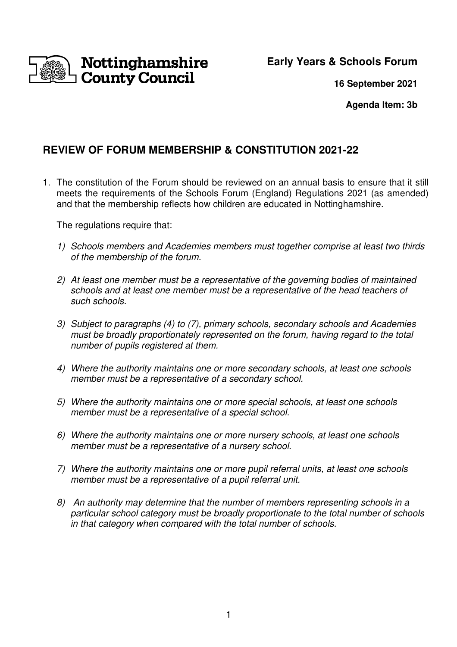Nottinghamshire **County Council** 

**Early Years & Schools Forum** 

**16 September 2021**

**Agenda Item: 3b** 

# **REVIEW OF FORUM MEMBERSHIP & CONSTITUTION 2021-22**

1. The constitution of the Forum should be reviewed on an annual basis to ensure that it still meets the requirements of the Schools Forum (England) Regulations 2021 (as amended) and that the membership reflects how children are educated in Nottinghamshire.

The regulations require that:

- 1) Schools members and Academies members must together comprise at least two thirds of the membership of the forum.
- 2) At least one member must be a representative of the governing bodies of maintained schools and at least one member must be a representative of the head teachers of such schools.
- 3) Subject to paragraphs (4) to (7), primary schools, secondary schools and Academies must be broadly proportionately represented on the forum, having regard to the total number of pupils registered at them.
- 4) Where the authority maintains one or more secondary schools, at least one schools member must be a representative of a secondary school.
- 5) Where the authority maintains one or more special schools, at least one schools member must be a representative of a special school.
- 6) Where the authority maintains one or more nursery schools, at least one schools member must be a representative of a nursery school.
- 7) Where the authority maintains one or more pupil referral units, at least one schools member must be a representative of a pupil referral unit.
- 8) An authority may determine that the number of members representing schools in a particular school category must be broadly proportionate to the total number of schools in that category when compared with the total number of schools.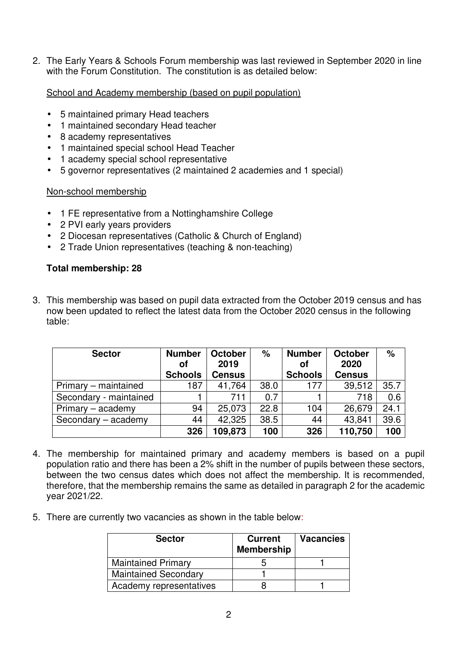2. The Early Years & Schools Forum membership was last reviewed in September 2020 in line with the Forum Constitution. The constitution is as detailed below:

School and Academy membership (based on pupil population)

- 5 maintained primary Head teachers
- 1 maintained secondary Head teacher
- 8 academy representatives
- 1 maintained special school Head Teacher
- 1 academy special school representative
- 5 governor representatives (2 maintained 2 academies and 1 special)

#### Non-school membership

- 1 FE representative from a Nottinghamshire College
- 2 PVI early years providers
- 2 Diocesan representatives (Catholic & Church of England)
- 2 Trade Union representatives (teaching & non-teaching)

### **Total membership: 28**

3. This membership was based on pupil data extracted from the October 2019 census and has now been updated to reflect the latest data from the October 2020 census in the following table:

| <b>Sector</b>          | <b>Number</b><br>οf | <b>October</b><br>2019 | $\%$ | <b>Number</b><br>οf | <b>October</b><br>2020 | %    |
|------------------------|---------------------|------------------------|------|---------------------|------------------------|------|
|                        | <b>Schools</b>      | <b>Census</b>          |      | <b>Schools</b>      | <b>Census</b>          |      |
| Primary – maintained   | 187                 | 41,764                 | 38.0 | 177                 | 39,512                 | 35.7 |
| Secondary - maintained |                     | 711                    | 0.7  |                     | 718                    | 0.6  |
| $Primary - academic$   | 94                  | 25,073                 | 22.8 | 104                 | 26,679                 | 24.1 |
| Secondary - academy    | 44                  | 42,325                 | 38.5 | 44                  | 43,841                 | 39.6 |
|                        | 326                 | 109,873                | 100  | 326                 | 110,750                | 100  |

- 4. The membership for maintained primary and academy members is based on a pupil population ratio and there has been a 2% shift in the number of pupils between these sectors, between the two census dates which does not affect the membership. It is recommended, therefore, that the membership remains the same as detailed in paragraph 2 for the academic year 2021/22.
- 5. There are currently two vacancies as shown in the table below:

| <b>Sector</b>               | <b>Current</b><br><b>Membership</b> | <b>Vacancies</b> |
|-----------------------------|-------------------------------------|------------------|
| <b>Maintained Primary</b>   |                                     |                  |
| <b>Maintained Secondary</b> |                                     |                  |
| Academy representatives     |                                     |                  |